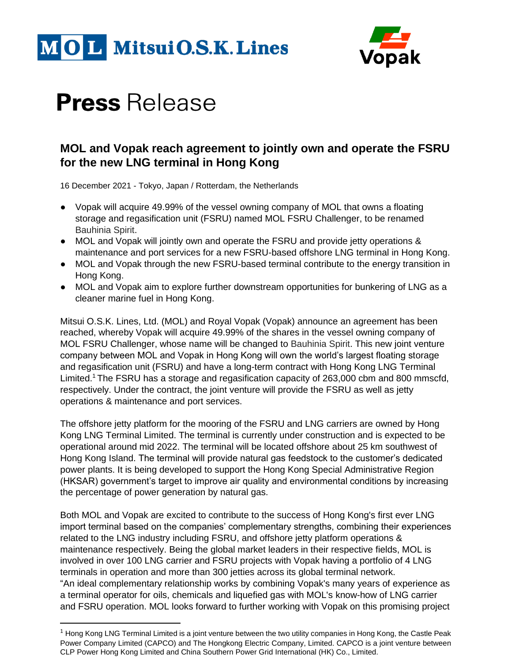



## **Press** Release

### **MOL and Vopak reach agreement to jointly own and operate the FSRU for the new LNG terminal in Hong Kong**

16 December 2021 - Tokyo, Japan / Rotterdam, the Netherlands

- Vopak will acquire 49.99% of the vessel owning company of MOL that owns a floating storage and regasification unit (FSRU) named MOL FSRU Challenger, to be renamed Bauhinia Spirit.
- MOL and Vopak will jointly own and operate the FSRU and provide jetty operations & maintenance and port services for a new FSRU-based offshore LNG terminal in Hong Kong.
- MOL and Vopak through the new FSRU-based terminal contribute to the energy transition in Hong Kong.
- MOL and Vopak aim to explore further downstream opportunities for bunkering of LNG as a cleaner marine fuel in Hong Kong.

Mitsui O.S.K. Lines, Ltd. (MOL) and Royal Vopak (Vopak) announce an agreement has been reached, whereby Vopak will acquire 49.99% of the shares in the vessel owning company of MOL FSRU Challenger, whose name will be changed to Bauhinia Spirit. This new joint venture company between MOL and Vopak in Hong Kong will own the world's largest floating storage and regasification unit (FSRU) and have a long-term contract with Hong Kong LNG Terminal Limited.<sup>1</sup> The FSRU has a storage and regasification capacity of 263,000 cbm and 800 mmscfd, respectively. Under the contract, the joint venture will provide the FSRU as well as jetty operations & maintenance and port services.

The offshore jetty platform for the mooring of the FSRU and LNG carriers are owned by Hong Kong LNG Terminal Limited. The terminal is currently under construction and is expected to be operational around mid 2022. The terminal will be located offshore about 25 km southwest of Hong Kong Island. The terminal will provide natural gas feedstock to the customer's dedicated power plants. It is being developed to support the Hong Kong Special Administrative Region (HKSAR) government's target to improve air quality and environmental conditions by increasing the percentage of power generation by natural gas.

Both MOL and Vopak are excited to contribute to the success of Hong Kong's first ever LNG import terminal based on the companies' complementary strengths, combining their experiences related to the LNG industry including FSRU, and offshore jetty platform operations & maintenance respectively. Being the global market leaders in their respective fields, MOL is involved in over 100 LNG carrier and FSRU projects with Vopak having a portfolio of 4 LNG terminals in operation and more than 300 jetties across its global terminal network. "An ideal complementary relationship works by combining Vopak's many years of experience as a terminal operator for oils, chemicals and liquefied gas with MOL's know-how of LNG carrier and FSRU operation. MOL looks forward to further working with Vopak on this promising project

<sup>1</sup> Hong Kong LNG Terminal Limited is a joint venture between the two utility companies in Hong Kong, the Castle Peak Power Company Limited (CAPCO) and The Hongkong Electric Company, Limited. CAPCO is a joint venture between CLP Power Hong Kong Limited and China Southern Power Grid International (HK) Co., Limited.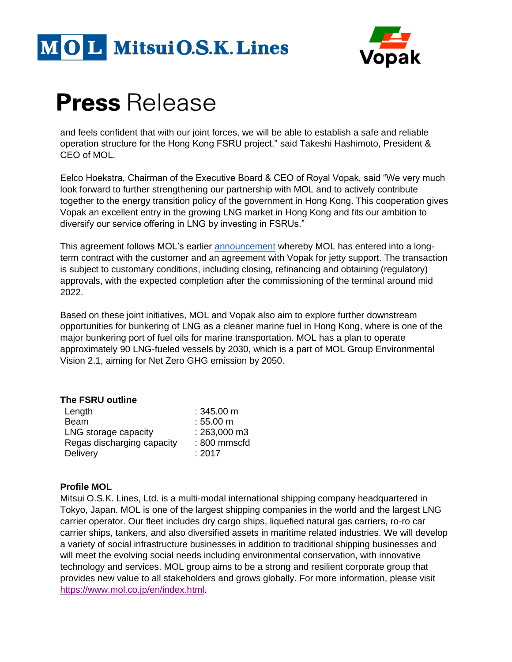



### **Press** Release

and feels confident that with our joint forces, we will be able to establish a safe and reliable operation structure for the Hong Kong FSRU project." said Takeshi Hashimoto, President & CEO of MOL.

Eelco Hoekstra, Chairman of the Executive Board & CEO of Royal Vopak, said "We very much look forward to further strengthening our partnership with MOL and to actively contribute together to the energy transition policy of the government in Hong Kong. This cooperation gives Vopak an excellent entry in the growing LNG market in Hong Kong and fits our ambition to diversify our service offering in LNG by investing in FSRUs."

This agreement follows MOL's earlier **announcement** whereby MOL has entered into a longterm contract with the customer and an agreement with Vopak for jetty support. The transaction is subject to customary conditions, including closing, refinancing and obtaining (regulatory) approvals, with the expected completion after the commissioning of the terminal around mid 2022.

Based on these joint initiatives, MOL and Vopak also aim to explore further downstream opportunities for bunkering of LNG as a cleaner marine fuel in Hong Kong, where is one of the major bunkering port of fuel oils for marine transportation. MOL has a plan to operate approximately 90 LNG-fueled vessels by 2030, which is a part of MOL Group Environmental Vision 2.1, aiming for Net Zero GHG emission by 2050.

### **The FSRU outline**

| Length                     | $:345.00 \text{ m}$ |
|----------------------------|---------------------|
| <b>Beam</b>                | $:55.00 \; m$       |
| LNG storage capacity       | : 263,000 m3        |
| Regas discharging capacity | : 800 mmscfd        |
| Delivery                   | : 2017              |

### **Profile MOL**

Mitsui O.S.K. Lines, Ltd. is a multi-modal international shipping company headquartered in Tokyo, Japan. MOL is one of the largest shipping companies in the world and the largest LNG carrier operator. Our fleet includes dry cargo ships, liquefied natural gas carriers, ro-ro car carrier ships, tankers, and also diversified assets in maritime related industries. We will develop a variety of social infrastructure businesses in addition to traditional shipping businesses and will meet the evolving social needs including environmental conservation, with innovative technology and services. MOL group aims to be a strong and resilient corporate group that provides new value to all stakeholders and grows globally. For more information, please visit [https://www.mol.co.jp/en/index.html.](https://www.mol.co.jp/en/index.html)